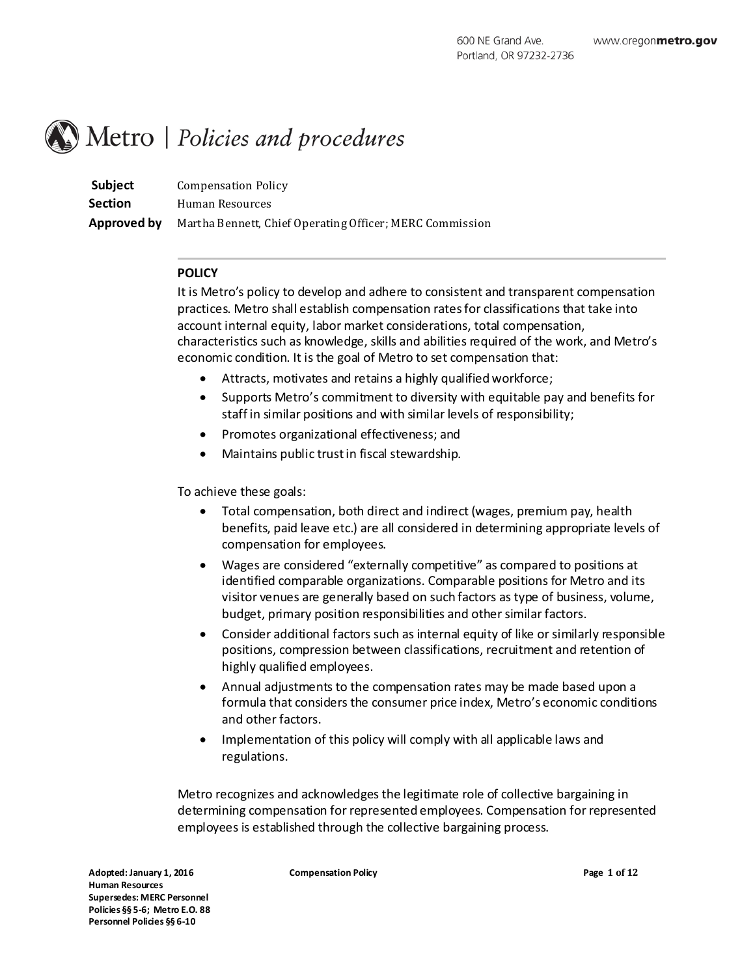# Metro | Policies and procedures

**Subject** Compensation Policy **Section** Human Resources **Approved by** Martha Bennett, Chief Operating Officer; MERC Commission

# **POLICY**

It is Metro's policy to develop and adhere to consistent and transparent compensation practices. Metro shall establish compensation rates for classifications that take into account internal equity, labor market considerations, total compensation, characteristics such as knowledge, skills and abilities required of the work, and Metro's economic condition. It is the goal of Metro to set compensation that:

- Attracts, motivates and retains a highly qualified workforce;
- Supports Metro's commitment to diversity with equitable pay and benefits for staff in similar positions and with similar levels of responsibility;
- Promotes organizational effectiveness; and
- Maintains public trust in fiscal stewardship.

To achieve these goals:

- Total compensation, both direct and indirect (wages, premium pay, health benefits, paid leave etc.) are all considered in determining appropriate levels of compensation for employees.
- Wages are considered "externally competitive" as compared to positions at identified comparable organizations. Comparable positions for Metro and its visitor venues are generally based on such factors as type of business, volume, budget, primary position responsibilities and other similar factors.
- Consider additional factors such as internal equity of like or similarly responsible positions, compression between classifications, recruitment and retention of highly qualified employees.
- Annual adjustments to the compensation rates may be made based upon a formula that considers the consumer price index, Metro's economic conditions and other factors.
- Implementation of this policy will comply with all applicable laws and regulations.

Metro recognizes and acknowledges the legitimate role of collective bargaining in determining compensation for represented employees. Compensation for represented employees is established through the collective bargaining process.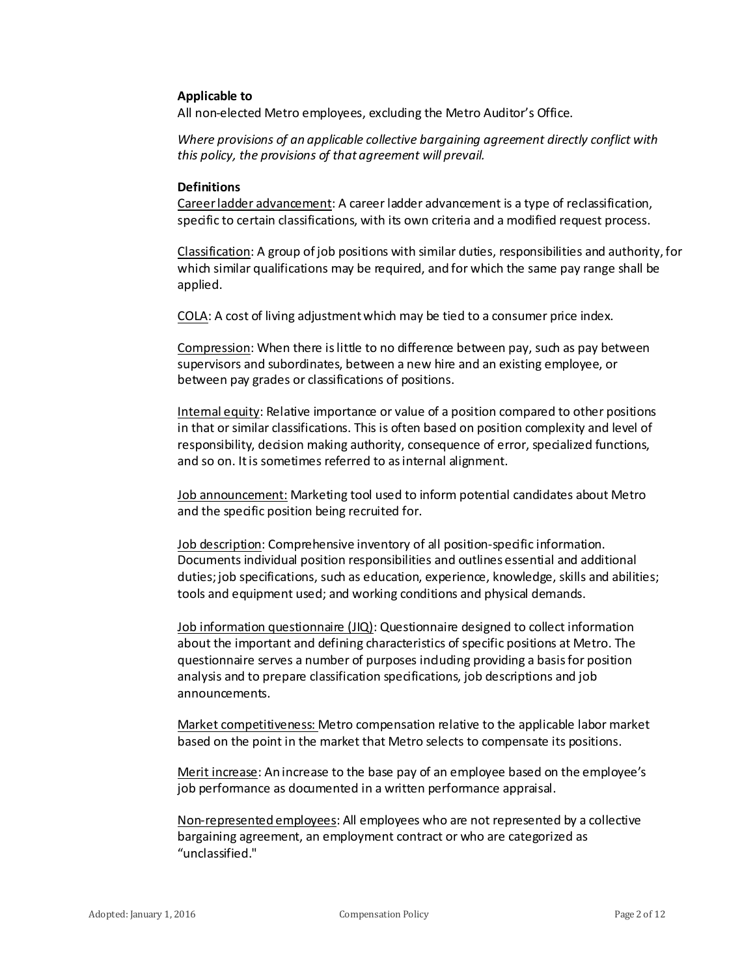#### **Applicable to**

All non-elected Metro employees, excluding the Metro Auditor's Office.

*Where provisions of an applicable collective bargaining agreement directly conflict with this policy, the provisions of that agreement will prevail.* 

#### **Definitions**

Career ladder advancement: A career ladder advancement is a type of reclassification, specific to certain classifications, with its own criteria and a modified request process.

Classification: A group of job positions with similar duties, responsibilities and authority, for which similar qualifications may be required, and for which the same pay range shall be applied.

COLA: A cost of living adjustment which may be tied to a consumer price index.

Compression: When there is little to no difference between pay, such as pay between supervisors and subordinates, between a new hire and an existing employee, or between pay grades or classifications of positions.

Internal equity: Relative importance or value of a position compared to other positions in that or similar classifications. This is often based on position complexity and level of responsibility, decision making authority, consequence of error, specialized functions, and so on. It is sometimes referred to as internal alignment.

Job announcement: Marketing tool used to inform potential candidates about Metro and the specific position being recruited for.

Job description: Comprehensive inventory of all position-specific information. Documents individual position responsibilities and outlines essential and additional duties; job specifications, such as education, experience, knowledge, skills and abilities; tools and equipment used; and working conditions and physical demands.

Job information questionnaire (JIQ): Questionnaire designed to collect information about the important and defining characteristics of specific positions at Metro. The questionnaire serves a number of purposes including providing a basis for position analysis and to prepare classification specifications, job descriptions and job announcements.

Market competitiveness: Metro compensation relative to the applicable labor market based on the point in the market that Metro selects to compensate its positions.

Merit increase: An increase to the base pay of an employee based on the employee's job performance as documented in a written performance appraisal.

Non-represented employees: All employees who are not represented by a collective bargaining agreement, an employment contract or who are categorized as "unclassified."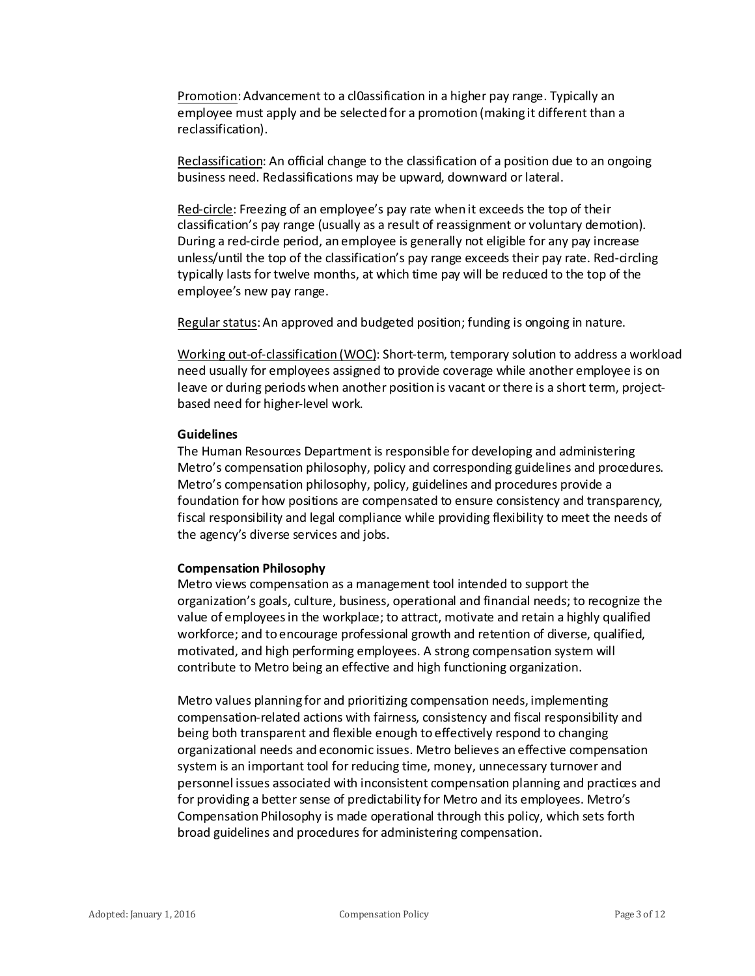Promotion: Advancement to a cl0assification in a higher pay range. Typically an employee must apply and be selected for a promotion (making it different than a reclassification).

Reclassification: An official change to the classification of a position due to an ongoing business need. Reclassifications may be upward, downward or lateral.

Red-circle: Freezing of an employee's pay rate when it exceeds the top of their classification's pay range (usually as a result of reassignment or voluntary demotion). During a red-circle period, an employee is generally not eligible for any pay increase unless/until the top of the classification's pay range exceeds their pay rate. Red-circling typically lasts for twelve months, at which time pay will be reduced to the top of the employee's new pay range.

Regular status: An approved and budgeted position; funding is ongoing in nature.

Working out-of-classification (WOC): Short-term, temporary solution to address a workload need usually for employees assigned to provide coverage while another employee is on leave or during periods when another position is vacant or there is a short term, projectbased need for higher-level work.

## **Guidelines**

The Human Resources Department is responsible for developing and administering Metro's compensation philosophy, policy and corresponding guidelines and procedures. Metro's compensation philosophy, policy, guidelines and procedures provide a foundation for how positions are compensated to ensure consistency and transparency, fiscal responsibility and legal compliance while providing flexibility to meet the needs of the agency's diverse services and jobs.

# **Compensation Philosophy**

Metro views compensation as a management tool intended to support the organization's goals, culture, business, operational and financial needs; to recognize the value of employees in the workplace; to attract, motivate and retain a highly qualified workforce; and to encourage professional growth and retention of diverse, qualified, motivated, and high performing employees. A strong compensation system will contribute to Metro being an effective and high functioning organization.

Metro values planning for and prioritizing compensation needs, implementing compensation-related actions with fairness, consistency and fiscal responsibility and being both transparent and flexible enough to effectively respond to changing organizational needs and economic issues. Metro believes an effective compensation system is an important tool for reducing time, money, unnecessary turnover and personnel issues associated with inconsistent compensation planning and practices and for providing a better sense of predictability for Metro and its employees. Metro's Compensation Philosophy is made operational through this policy, which sets forth broad guidelines and procedures for administering compensation.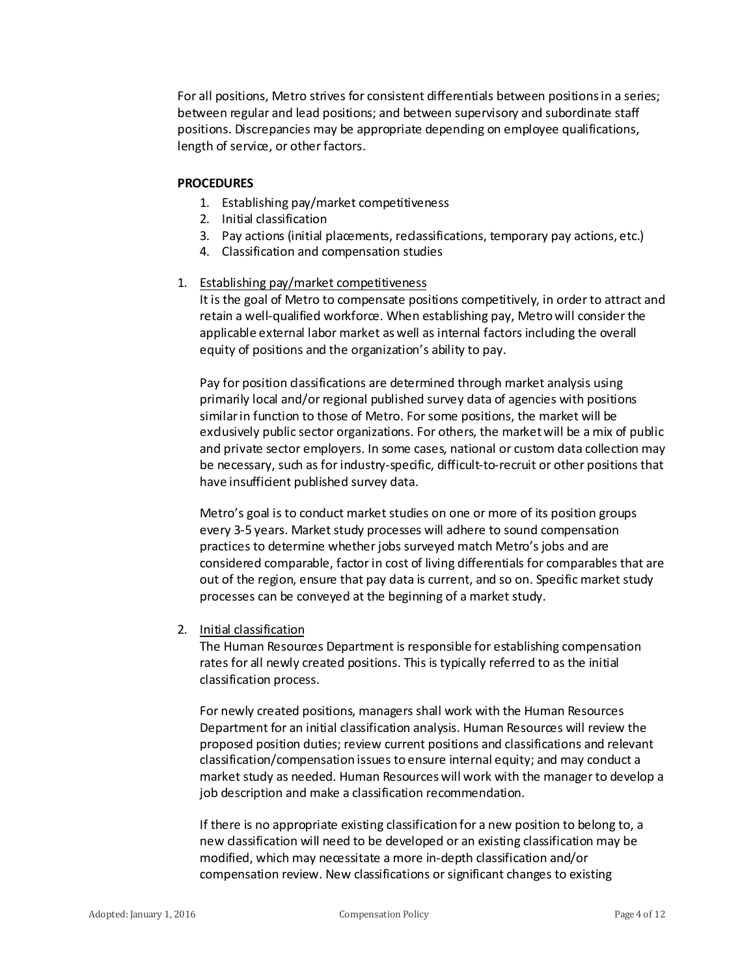For all positions, Metro strives for consistent differentials between positions in a series; between regular and lead positions; and between supervisory and subordinate staff positions. Discrepancies may be appropriate depending on employee qualifications, length of service, or other factors.

## **PROCEDURES**

- 1. Establishing pay/market competitiveness
- 2. Initial classification
- 3. Pay actions (initial placements, reclassifications, temporary pay actions, etc.)
- 4. Classification and compensation studies

# 1. Establishing pay/market competitiveness

It is the goal of Metro to compensate positions competitively, in order to attract and retain a well-qualified workforce. When establishing pay, Metro will consider the applicable external labor market as well as internal factors including the overall equity of positions and the organization's ability to pay.

Pay for position classifications are determined through market analysis using primarily local and/or regional published survey data of agencies with positions similar in function to those of Metro. For some positions, the market will be exclusively public sector organizations. For others, the market will be a mix of public and private sector employers. In some cases, national or custom data collection may be necessary, such as for industry-specific, difficult-to-recruit or other positions that have insufficient published survey data.

Metro's goal is to conduct market studies on one or more of its position groups every 3-5 years. Market study processes will adhere to sound compensation practices to determine whether jobs surveyed match Metro's jobs and are considered comparable, factor in cost of living differentials for comparables that are out of the region, ensure that pay data is current, and so on. Specific market study processes can be conveyed at the beginning of a market study.

# 2. Initial classification

The Human Resources Department is responsible for establishing compensation rates for all newly created positions. This is typically referred to as the initial classification process.

For newly created positions, managers shall work with the Human Resources Department for an initial classification analysis. Human Resources will review the proposed position duties; review current positions and classifications and relevant classification/compensation issues to ensure internal equity; and may conduct a market study as needed. Human Resources will work with the manager to develop a job description and make a classification recommendation.

If there is no appropriate existing classification for a new position to belong to, a new classification will need to be developed or an existing classification may be modified, which may necessitate a more in-depth classification and/or compensation review. New classifications or significant changes to existing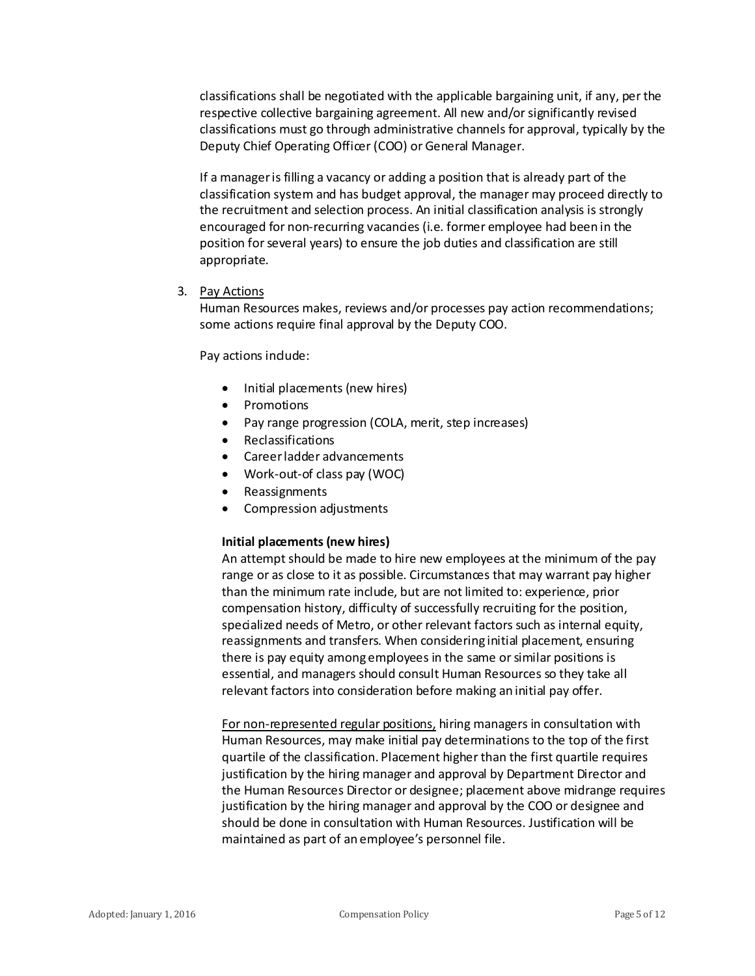classifications shall be negotiated with the applicable bargaining unit, if any, per the respective collective bargaining agreement. All new and/or significantly revised classifications must go through administrative channels for approval, typically by the Deputy Chief Operating Officer (COO) or General Manager.

If a manager is filling a vacancy or adding a position that is already part of the classification system and has budget approval, the manager may proceed directly to the recruitment and selection process. An initial classification analysis is strongly encouraged for non-recurring vacancies (i.e. former employee had been in the position for several years) to ensure the job duties and classification are still appropriate.

3. Pay Actions

Human Resources makes, reviews and/or processes pay action recommendations; some actions require final approval by the Deputy COO.

Pay actions indude:

- Initial placements (new hires)
- **Promotions**
- Pay range progression (COLA, merit, step increases)
- Reclassifications
- Career ladder advancements
- Work-out-of class pay (WOC)
- Reassignments
- Compression adjustments

# **Initial placements (new hires)**

An attempt should be made to hire new employees at the minimum of the pay range or as close to it as possible. Circumstances that may warrant pay higher than the minimum rate include, but are not limited to: experience, prior compensation history, difficulty of successfully recruiting for the position, specialized needs of Metro, or other relevant factors such as internal equity, reassignments and transfers. When considering initial placement, ensuring there is pay equity among employees in the same or similar positions is essential, and managers should consult Human Resources so they take all relevant factors into consideration before making an initial pay offer.

For non-represented regular positions, hiring managers in consultation with Human Resources, may make initial pay determinations to the top of the first quartile of the classification. Placement higher than the first quartile requires justification by the hiring manager and approval by Department Director and the Human Resources Director or designee; placement above midrange requires justification by the hiring manager and approval by the COO or designee and should be done in consultation with Human Resources. Justification will be maintained as part of an employee's personnel file.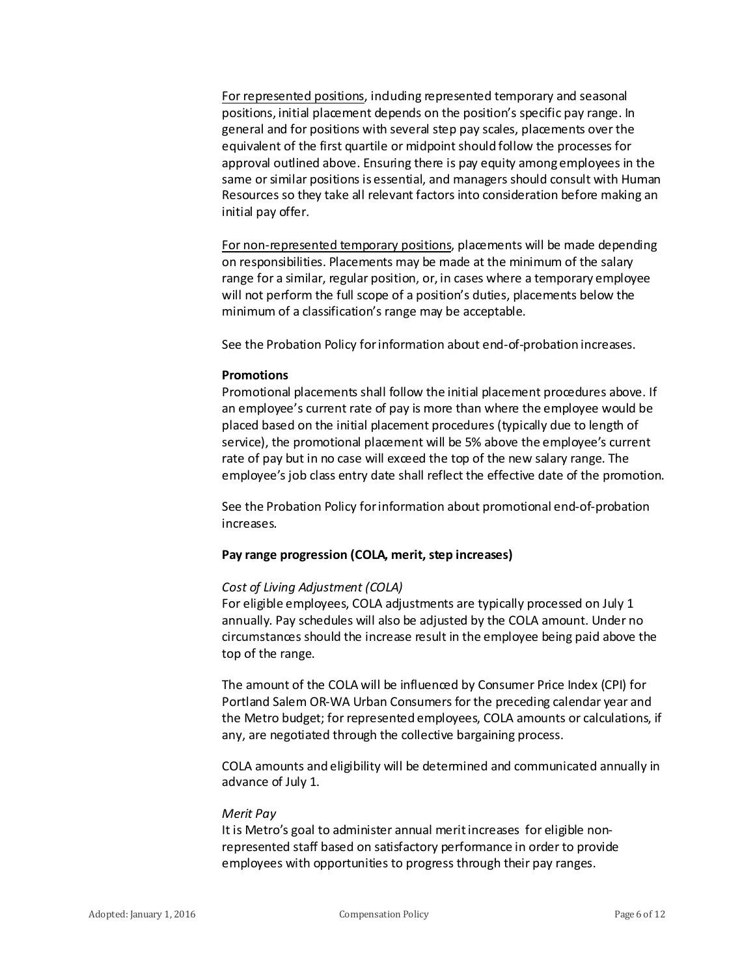For represented positions, including represented temporary and seasonal positions, initial placement depends on the position's specific pay range. In general and for positions with several step pay scales, placements over the equivalent of the first quartile or midpoint should follow the processes for approval outlined above. Ensuring there is pay equity among employees in the same or similar positions is essential, and managers should consult with Human Resources so they take all relevant factors into consideration before making an initial pay offer.

For non-represented temporary positions, placements will be made depending on responsibilities. Placements may be made at the minimum of the salary range for a similar, regular position, or, in cases where a temporary employee will not perform the full scope of a position's duties, placements below the minimum of a classification's range may be acceptable.

See the Probation Policy for information about end-of-probation increases.

## **Promotions**

Promotional placements shall follow the initial placement procedures above. If an employee's current rate of pay is more than where the employee would be placed based on the initial placement procedures (typically due to length of service), the promotional placement will be 5% above the employee's current rate of pay but in no case will exceed the top of the new salary range. The employee's job class entry date shall reflect the effective date of the promotion.

See the Probation Policy for information about promotional end-of-probation increases.

# **Pay range progression (COLA, merit, step increases)**

# *Cost of Living Adjustment (COLA)*

For eligible employees, COLA adjustments are typically processed on July 1 annually. Pay schedules will also be adjusted by the COLA amount. Under no circumstances should the increase result in the employee being paid above the top of the range.

The amount of the COLA will be influenced by Consumer Price Index (CPI) for Portland Salem OR-WA Urban Consumers for the preceding calendar year and the Metro budget; for represented employees, COLA amounts or calculations, if any, are negotiated through the collective bargaining process.

COLA amounts and eligibility will be determined and communicated annually in advance of July 1.

#### *Merit Pay*

It is Metro's goal to administer annual merit increases for eligible nonrepresented staff based on satisfactory performance in order to provide employees with opportunities to progress through their pay ranges.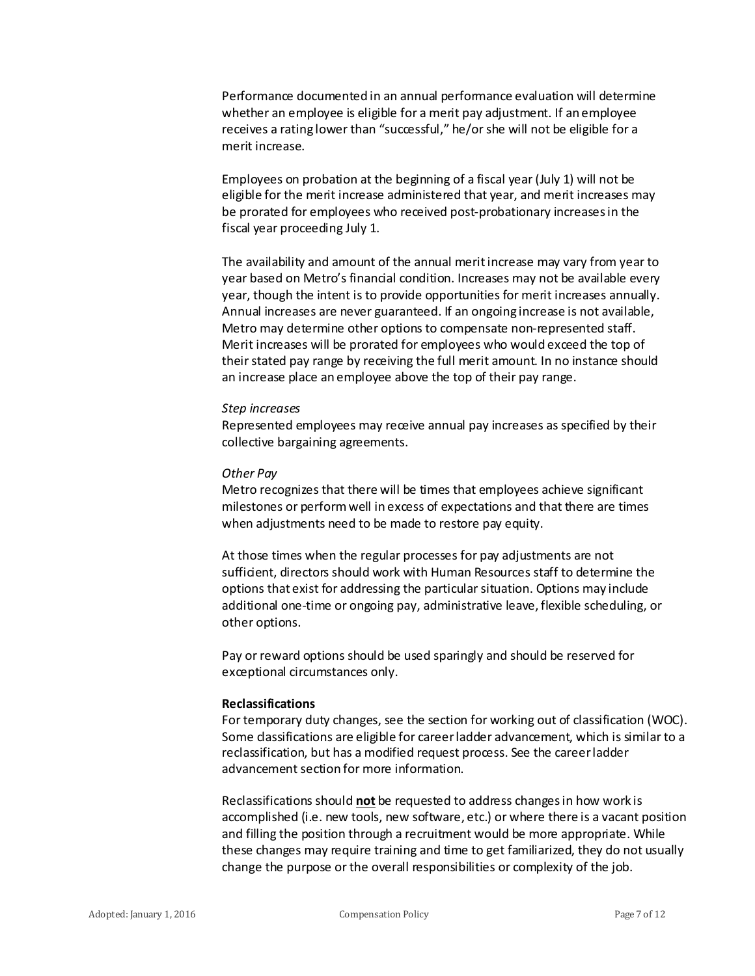Performance documented in an annual performance evaluation will determine whether an employee is eligible for a merit pay adjustment. If an employee receives a rating lower than "successful," he/or she will not be eligible for a merit increase.

Employees on probation at the beginning of a fiscal year (July 1) will not be eligible for the merit increase administered that year, and merit increases may be prorated for employees who received post-probationary increases in the fiscal year proceeding July 1.

The availability and amount of the annual merit increase may vary from year to year based on Metro's financial condition. Increases may not be available every year, though the intent is to provide opportunities for merit increases annually. Annual increases are never guaranteed. If an ongoing increase is not available, Metro may determine other options to compensate non-represented staff. Merit increases will be prorated for employees who would exceed the top of their stated pay range by receiving the full merit amount. In no instance should an increase place an employee above the top of their pay range.

#### *Step increases*

Represented employees may receive annual pay increases as specified by their collective bargaining agreements.

#### *Other Pay*

Metro recognizes that there will be times that employees achieve significant milestones or perform well in excess of expectations and that there are times when adjustments need to be made to restore pay equity.

At those times when the regular processes for pay adjustments are not sufficient, directors should work with Human Resources staff to determine the options that exist for addressing the particular situation. Options may include additional one-time or ongoing pay, administrative leave, flexible scheduling, or other options.

Pay or reward options should be used sparingly and should be reserved for exceptional circumstances only.

#### **Reclassifications**

For temporary duty changes, see the section for working out of classification (WOC). Some dassifications are eligible for career ladder advancement, which is similar to a reclassification, but has a modified request process. See the career ladder advancement section for more information.

Reclassifications should **not** be requested to address changes in how work is accomplished (i.e. new tools, new software, etc.) or where there is a vacant position and filling the position through a recruitment would be more appropriate. While these changes may require training and time to get familiarized, they do not usually change the purpose or the overall responsibilities or complexity of the job.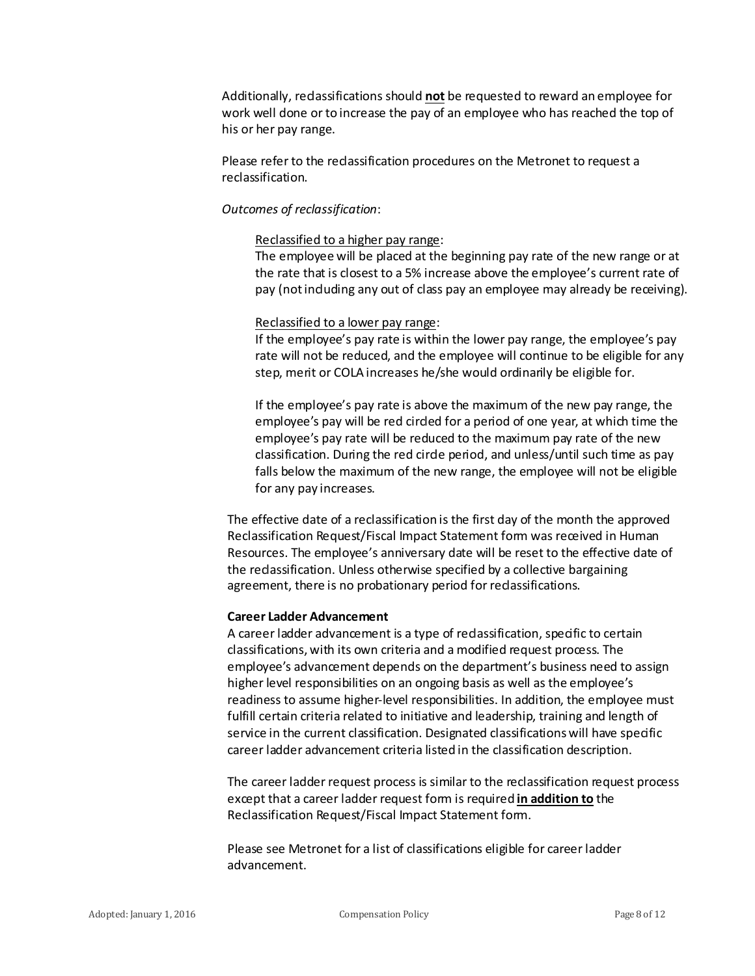Additionally, reclassifications should **not** be requested to reward an employee for work well done or to increase the pay of an employee who has reached the top of his or her pay range.

Please refer to the redassification procedures on the Metronet to request a reclassification.

#### *Outcomes of reclassification*:

## Reclassified to a higher pay range:

The employee will be placed at the beginning pay rate of the new range or at the rate that is closest to a 5% increase above the employee's current rate of pay (not including any out of class pay an employee may already be receiving).

## Reclassified to a lower pay range:

If the employee's pay rate is within the lower pay range, the employee's pay rate will not be reduced, and the employee will continue to be eligible for any step, merit or COLA increases he/she would ordinarily be eligible for.

If the employee's pay rate is above the maximum of the new pay range, the employee's pay will be red circled for a period of one year, at which time the employee's pay rate will be reduced to the maximum pay rate of the new classification. During the red circle period, and unless/until such time as pay falls below the maximum of the new range, the employee will not be eligible for any pay increases.

The effective date of a reclassification is the first day of the month the approved Reclassification Request/Fiscal Impact Statement form was received in Human Resources. The employee's anniversary date will be reset to the effective date of the reclassification. Unless otherwise specified by a collective bargaining agreement, there is no probationary period for reclassifications.

# **Career Ladder Advancement**

A career ladder advancement is a type of redassification, specific to certain classifications, with its own criteria and a modified request process. The employee's advancement depends on the department's business need to assign higher level responsibilities on an ongoing basis as well as the employee's readiness to assume higher-level responsibilities. In addition, the employee must fulfill certain criteria related to initiative and leadership, training and length of service in the current classification. Designated classifications will have specific career ladder advancement criteria listed in the classification description.

The career ladder request process is similar to the reclassification request process except that a career ladder request form is required **in addition to** the Reclassification Request/Fiscal Impact Statement form.

Please see Metronet for a list of classifications eligible for career ladder advancement.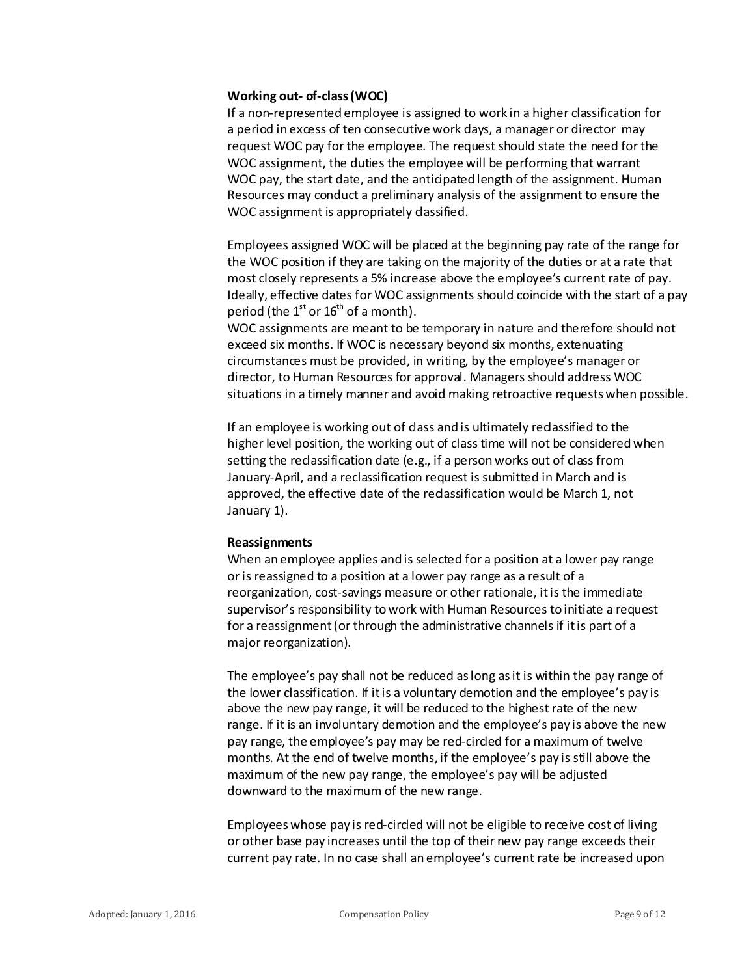#### **Working out- of-class (WOC)**

If a non-represented employee is assigned to work in a higher classification for a period in excess of ten consecutive work days, a manager or director may request WOC pay for the employee. The request should state the need for the WOC assignment, the duties the employee will be performing that warrant WOC pay, the start date, and the anticipated length of the assignment. Human Resources may conduct a preliminary analysis of the assignment to ensure the WOC assignment is appropriately dassified.

Employees assigned WOC will be placed at the beginning pay rate of the range for the WOC position if they are taking on the majority of the duties or at a rate that most closely represents a 5% increase above the employee's current rate of pay. Ideally, effective dates for WOC assignments should coincide with the start of a pay period (the  $1<sup>st</sup>$  or  $16<sup>th</sup>$  of a month).

WOC assignments are meant to be temporary in nature and therefore should not exceed six months. If WOC is necessary beyond six months, extenuating circumstances must be provided, in writing, by the employee's manager or director, to Human Resources for approval. Managers should address WOC situations in a timely manner and avoid making retroactive requests when possible.

If an employee is working out of dass and is ultimately redassified to the higher level position, the working out of class time will not be considered when setting the redassification date (e.g., if a person works out of class from January-April, and a reclassification request is submitted in March and is approved, the effective date of the reclassification would be March 1, not January 1).

#### **Reassignments**

When an employee applies and is selected for a position at a lower pay range or is reassigned to a position at a lower pay range as a result of a reorganization, cost-savings measure or other rationale, it is the immediate supervisor's responsibility to work with Human Resources to initiate a request for a reassignment (or through the administrative channels if it is part of a major reorganization).

The employee's pay shall not be reduced as long as it is within the pay range of the lower classification. If it is a voluntary demotion and the employee's pay is above the new pay range, it will be reduced to the highest rate of the new range. If it is an involuntary demotion and the employee's pay is above the new pay range, the employee's pay may be red-circled for a maximum of twelve months. At the end of twelve months, if the employee's pay is still above the maximum of the new pay range, the employee's pay will be adjusted downward to the maximum of the new range.

Employees whose pay is red-cirded will not be eligible to receive cost of living or other base pay increases until the top of their new pay range exceeds their current pay rate. In no case shall an employee's current rate be increased upon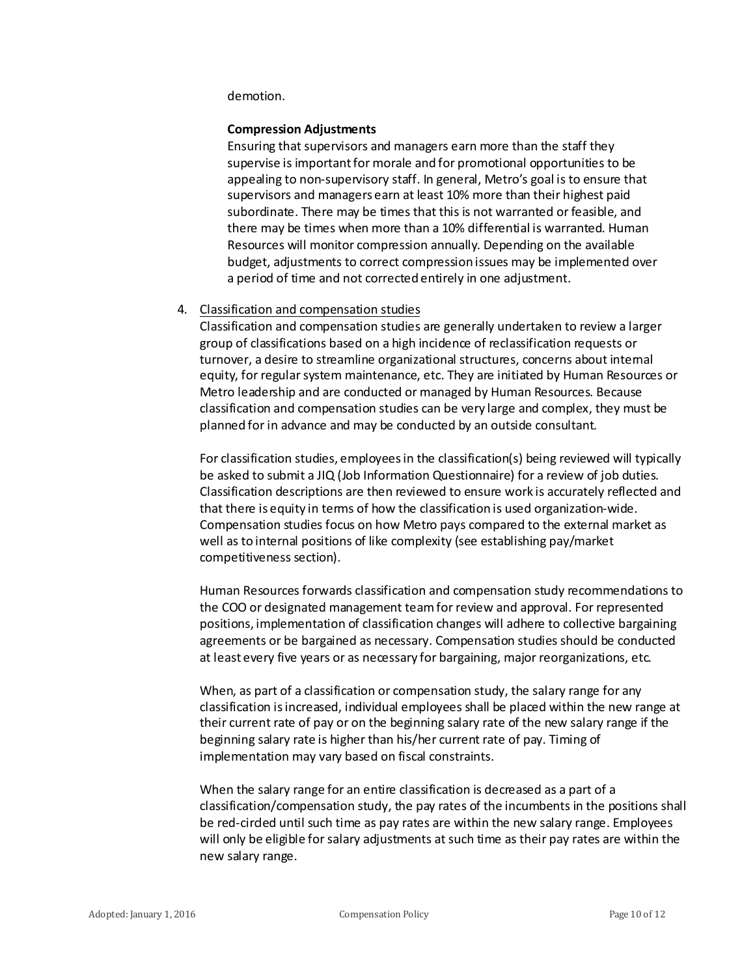demotion.

# **Compression Adjustments**

Ensuring that supervisors and managers earn more than the staff they supervise is important for morale and for promotional opportunities to be appealing to non-supervisory staff. In general, Metro's goal is to ensure that supervisors and managers earn at least 10% more than their highest paid subordinate. There may be times that this is not warranted or feasible, and there may be times when more than a 10% differential is warranted. Human Resources will monitor compression annually. Depending on the available budget, adjustments to correct compression issues may be implemented over a period of time and not corrected entirely in one adjustment.

# 4. Classification and compensation studies

Classification and compensation studies are generally undertaken to review a larger group of classifications based on a high incidence of reclassification requests or turnover, a desire to streamline organizational structures, concerns about internal equity, for regular system maintenance, etc. They are initiated by Human Resources or Metro leadership and are conducted or managed by Human Resources. Because classification and compensation studies can be very large and complex, they must be planned for in advance and may be conducted by an outside consultant.

For classification studies, employees in the classification(s) being reviewed will typically be asked to submit a JIQ (Job Information Questionnaire) for a review of job duties. Classification descriptions are then reviewed to ensure work is accurately reflected and that there is equity in terms of how the classification is used organization-wide. Compensation studies focus on how Metro pays compared to the external market as well as to internal positions of like complexity (see establishing pay/market competitiveness section).

Human Resources forwards classification and compensation study recommendations to the COO or designated management team for review and approval. For represented positions, implementation of classification changes will adhere to collective bargaining agreements or be bargained as necessary. Compensation studies should be conducted at least every five years or as necessary for bargaining, major reorganizations, etc.

When, as part of a classification or compensation study, the salary range for any classification is increased, individual employees shall be placed within the new range at their current rate of pay or on the beginning salary rate of the new salary range if the beginning salary rate is higher than his/her current rate of pay. Timing of implementation may vary based on fiscal constraints.

When the salary range for an entire classification is decreased as a part of a classification/compensation study, the pay rates of the incumbents in the positions shall be red-circled until such time as pay rates are within the new salary range. Employees will only be eligible for salary adjustments at such time as their pay rates are within the new salary range.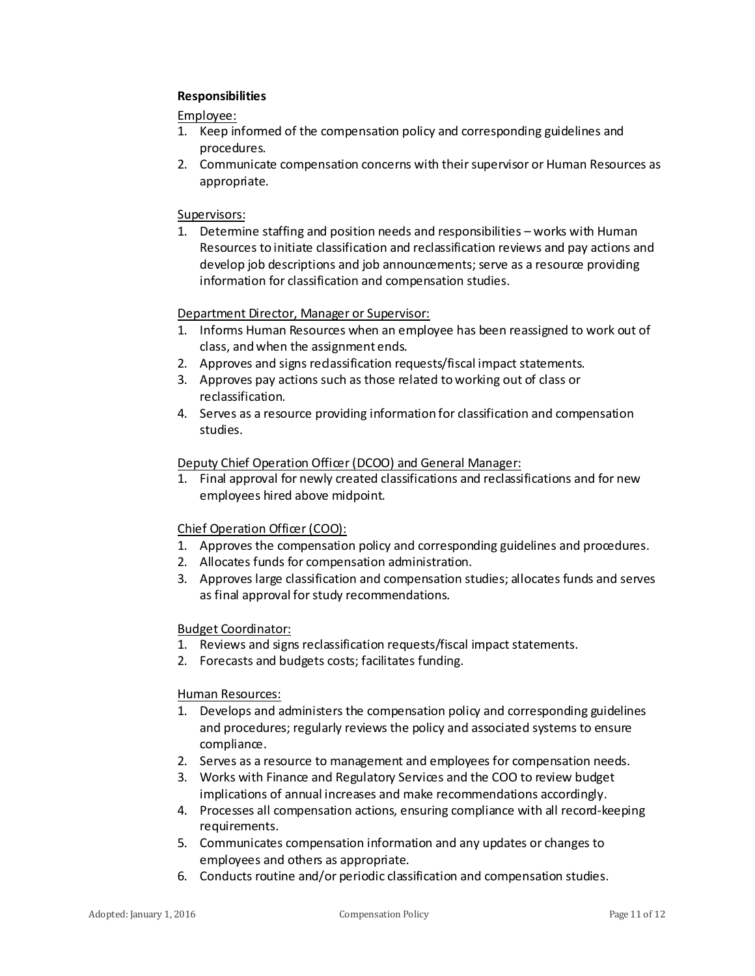# **Responsibilities**

Employee:

- 1. Keep informed of the compensation policy and corresponding guidelines and procedures.
- 2. Communicate compensation concerns with their supervisor or Human Resources as appropriate.

# Supervisors:

1. Determine staffing and position needs and responsibilities – works with Human Resources to initiate classification and reclassification reviews and pay actions and develop job descriptions and job announcements; serve as a resource providing information for classification and compensation studies.

## Department Director, Manager or Supervisor:

- 1. Informs Human Resources when an employee has been reassigned to work out of class, and when the assignment ends.
- 2. Approves and signs reclassification requests/fiscal impact statements.
- 3. Approves pay actions such as those related to working out of class or reclassification.
- 4. Serves as a resource providing information for classification and compensation studies.

## Deputy Chief Operation Officer (DCOO) and General Manager:

1. Final approval for newly created classifications and reclassifications and for new employees hired above midpoint.

# Chief Operation Officer (COO):

- 1. Approves the compensation policy and corresponding guidelines and procedures.
- 2. Allocates funds for compensation administration.
- 3. Approves large classification and compensation studies; allocates funds and serves as final approval for study recommendations.

#### Budget Coordinator:

- 1. Reviews and signs reclassification requests/fiscal impact statements.
- 2. Forecasts and budgets costs; facilitates funding.

#### Human Resources:

- 1. Develops and administers the compensation policy and corresponding guidelines and procedures; regularly reviews the policy and associated systems to ensure compliance.
- 2. Serves as a resource to management and employees for compensation needs.
- 3. Works with Finance and Regulatory Services and the COO to review budget implications of annual increases and make recommendations accordingly.
- 4. Processes all compensation actions, ensuring compliance with all record-keeping requirements.
- 5. Communicates compensation information and any updates or changes to employees and others as appropriate.
- 6. Conducts routine and/or periodic classification and compensation studies.